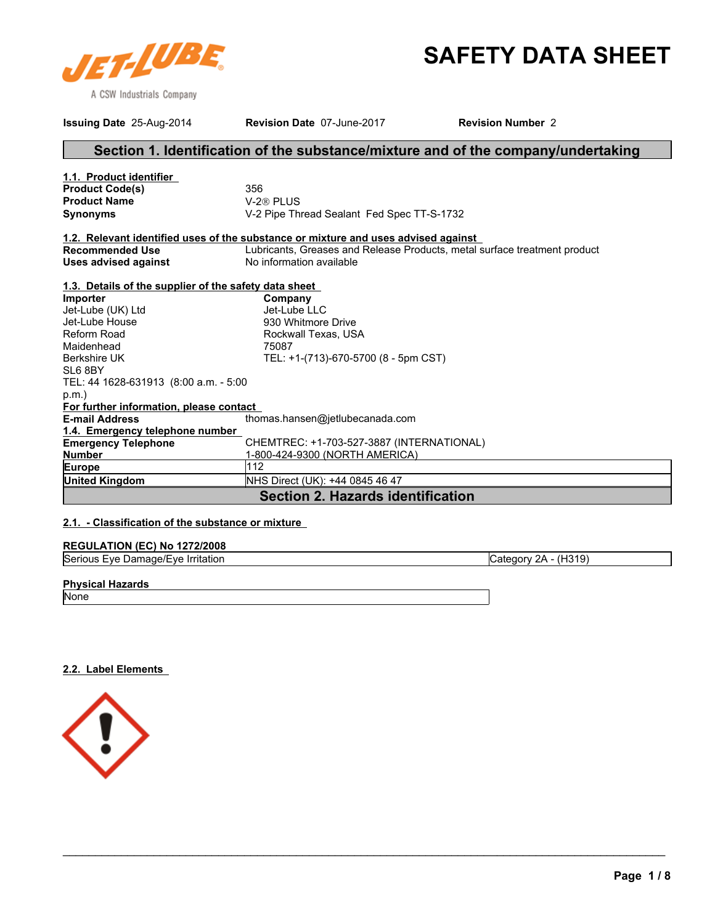

# **SAFETY DATA SHEET**

| Issuing Date 25-Aug-2014                              | Revision Date 07-June-2017                                                         | <b>Revision Number 2</b>                                                          |  |
|-------------------------------------------------------|------------------------------------------------------------------------------------|-----------------------------------------------------------------------------------|--|
|                                                       |                                                                                    | Section 1. Identification of the substance/mixture and of the company/undertaking |  |
| 1.1. Product identifier                               |                                                                                    |                                                                                   |  |
| <b>Product Code(s)</b>                                | 356                                                                                |                                                                                   |  |
| <b>Product Name</b>                                   | V-2 <sup>®</sup> PLUS                                                              |                                                                                   |  |
| <b>Synonyms</b>                                       | V-2 Pipe Thread Sealant Fed Spec TT-S-1732                                         |                                                                                   |  |
|                                                       | 1.2. Relevant identified uses of the substance or mixture and uses advised against |                                                                                   |  |
| <b>Recommended Use</b>                                |                                                                                    | Lubricants, Greases and Release Products, metal surface treatment product         |  |
| <b>Uses advised against</b>                           | No information available                                                           |                                                                                   |  |
| 1.3. Details of the supplier of the safety data sheet |                                                                                    |                                                                                   |  |
| Importer                                              | Company                                                                            |                                                                                   |  |
| Jet-Lube (UK) Ltd                                     | Jet-Lube LLC                                                                       |                                                                                   |  |
| Jet-Lube House                                        | 930 Whitmore Drive                                                                 |                                                                                   |  |
| <b>Reform Road</b>                                    | Rockwall Texas, USA                                                                |                                                                                   |  |
| Maidenhead                                            | 75087                                                                              |                                                                                   |  |
| <b>Berkshire UK</b>                                   | TEL: +1-(713)-670-5700 (8 - 5pm CST)                                               |                                                                                   |  |
| SL6 8BY                                               |                                                                                    |                                                                                   |  |
| TEL: 44 1628-631913 (8:00 a.m. - 5:00                 |                                                                                    |                                                                                   |  |
| $p.m.$ )                                              |                                                                                    |                                                                                   |  |
| For further information, please contact               |                                                                                    |                                                                                   |  |
| <b>E-mail Address</b>                                 | thomas.hansen@jetlubecanada.com                                                    |                                                                                   |  |
| 1.4. Emergency telephone number                       |                                                                                    |                                                                                   |  |
| <b>Emergency Telephone</b>                            | CHEMTREC: +1-703-527-3887 (INTERNATIONAL)                                          |                                                                                   |  |
| <b>Number</b>                                         | 1-800-424-9300 (NORTH AMERICA)                                                     |                                                                                   |  |
| Europe                                                | 112                                                                                |                                                                                   |  |
| <b>United Kingdom</b>                                 | NHS Direct (UK): +44 0845 46 47                                                    |                                                                                   |  |
|                                                       | <b>Section 2. Hazards identification</b>                                           |                                                                                   |  |

### **2.1. - Classification of the substance or mixture**

### **REGULATION (EC) No 1272/2008**

|  | Serio<br>.<br>Irritation<br>٠ve<br>$-VF$<br>10n<br>ີ<br>глангачел | 7H′<br>H319'<br>'N<br>.атг<br>. . |
|--|-------------------------------------------------------------------|-----------------------------------|
|--|-------------------------------------------------------------------|-----------------------------------|

\_\_\_\_\_\_\_\_\_\_\_\_\_\_\_\_\_\_\_\_\_\_\_\_\_\_\_\_\_\_\_\_\_\_\_\_\_\_\_\_\_\_\_\_\_\_\_\_\_\_\_\_\_\_\_\_\_\_\_\_\_\_\_\_\_\_\_\_\_\_\_\_\_\_\_\_\_\_\_\_\_\_\_\_\_\_\_\_\_\_\_\_\_

### **Physical Hazards**

None

**2.2. Label Elements** 

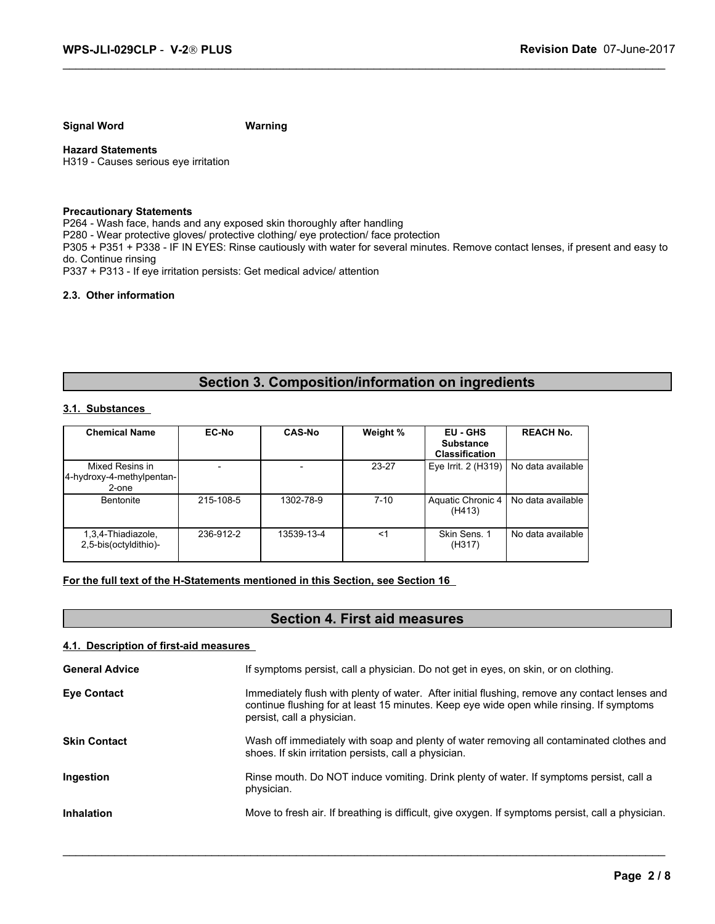**Signal Word Warning**

**Hazard Statements** H319 - Causes serious eye irritation

### **Precautionary Statements**

P264 - Wash face, hands and any exposed skin thoroughly after handling P280 - Wear protective gloves/ protective clothing/ eye protection/ face protection P305 + P351 + P338 - IF IN EYES: Rinse cautiously with water for several minutes. Remove contact lenses, if present and easy to do. Continue rinsing P337 + P313 - If eye irritation persists: Get medical advice/ attention

### **2.3. Other information**

### **Section 3. Composition/information on ingredients**

### **3.1. Substances**

|                                                       |              |               |           | Section 3. Composition/information on ingredients     |                   |
|-------------------------------------------------------|--------------|---------------|-----------|-------------------------------------------------------|-------------------|
| 3.1. Substances                                       |              |               |           |                                                       |                   |
| <b>Chemical Name</b>                                  | <b>EC-No</b> | <b>CAS-No</b> | Weight %  | EU - GHS<br><b>Substance</b><br><b>Classification</b> | <b>REACH No.</b>  |
| Mixed Resins in<br>4-hydroxy-4-methylpentan-<br>2-one |              |               | $23 - 27$ | Eye Irrit. 2 (H319)                                   | No data available |
| Bentonite                                             | 215-108-5    | 1302-78-9     | $7 - 10$  | Aquatic Chronic 4<br>(H413)                           | No data available |
| 1,3,4-Thiadiazole,<br>2,5-bis(octyldithio)-           | 236-912-2    | 13539-13-4    | <1        | Skin Sens. 1<br>(H317)                                | No data available |

### **For the full text of the H-Statements mentioned in this Section, see Section 16**

### **Section 4. First aid measures**

### **4.1. Description of first-aid measures**

| <b>General Advice</b> | If symptoms persist, call a physician. Do not get in eyes, on skin, or on clothing.                                                                                                                                     |
|-----------------------|-------------------------------------------------------------------------------------------------------------------------------------------------------------------------------------------------------------------------|
| <b>Eye Contact</b>    | Immediately flush with plenty of water. After initial flushing, remove any contact lenses and<br>continue flushing for at least 15 minutes. Keep eye wide open while rinsing. If symptoms<br>persist, call a physician. |
| <b>Skin Contact</b>   | Wash off immediately with soap and plenty of water removing all contaminated clothes and<br>shoes. If skin irritation persists, call a physician.                                                                       |
| Ingestion             | Rinse mouth. Do NOT induce vomiting. Drink plenty of water. If symptoms persist, call a<br>physician.                                                                                                                   |
| <b>Inhalation</b>     | Move to fresh air. If breathing is difficult, give oxygen. If symptoms persist, call a physician.                                                                                                                       |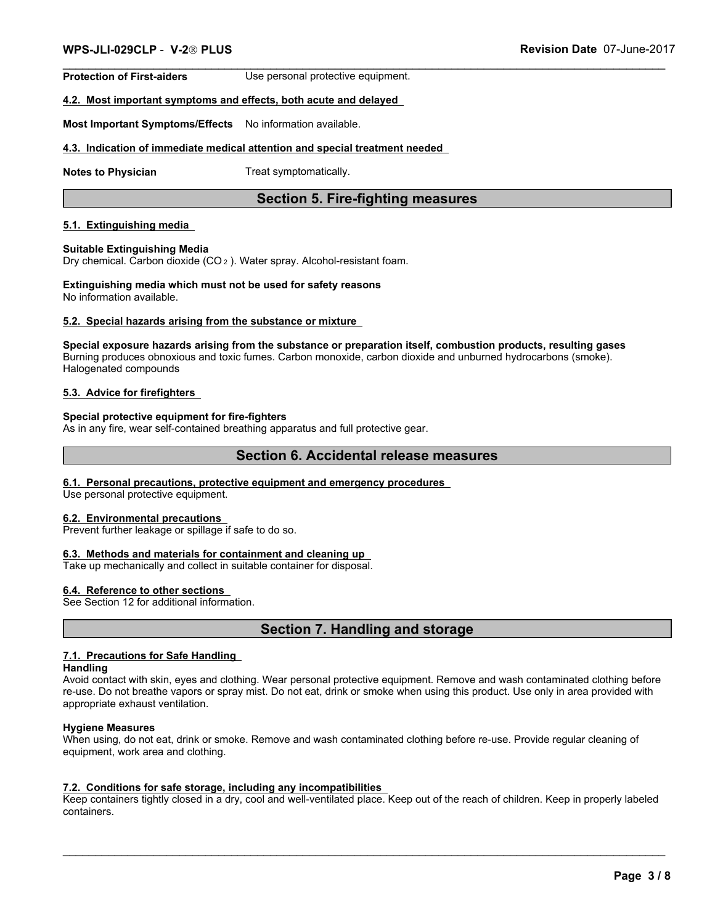**Protection of First-aiders** Use personal protective equipment.

### **4.2. Most important symptoms and effects, both acute and delayed**

**Most Important Symptoms/Effects** No information available.

### **4.3. Indication of immediate medical attention and special treatment needed**

**Notes to Physician** Treat symptomatically.

### **Section 5. Fire-fighting measures**

### **5.1. Extinguishing media**

#### **Suitable Extinguishing Media**

Dry chemical. Carbon dioxide (CO 2 ). Water spray. Alcohol-resistant foam.

#### **Extinguishing media which must not be used for safety reasons** No information available.

### **5.2. Special hazards arising from the substance or mixture**

**Special exposure hazards arising from the substance or preparation itself, combustion products, resulting gases** Burning produces obnoxious and toxic fumes. Carbon monoxide, carbon dioxide and unburned hydrocarbons (smoke). Halogenated compounds

### **5.3. Advice for firefighters**

### **Special protective equipment for fire-fighters**

As in any fire, wear self-contained breathing apparatus and full protective gear.

### **Section 6. Accidental release measures**

#### **6.1. Personal precautions, protective equipment and emergency procedures**

Use personal protective equipment.

### **6.2. Environmental precautions**

Prevent further leakage or spillage if safe to do so.

### **6.3. Methods and materials for containment and cleaning up**

Take up mechanically and collect in suitable container for disposal.

#### **6.4. Reference to other sections**

See Section 12 for additional information.

### **Section 7. Handling and storage**

### **7.1. Precautions for Safe Handling**

#### **Handling**

Avoid contact with skin, eyes and clothing. Wear personal protective equipment. Remove and wash contaminated clothing before re-use. Do not breathe vapors or spray mist. Do not eat, drink or smoke when using this product. Use only in area provided with appropriate exhaust ventilation.

### **Hygiene Measures**

When using, do not eat, drink or smoke. Remove and wash contaminated clothing before re-use. Provide regular cleaning of equipment, work area and clothing.

### **7.2. Conditions for safe storage, including any incompatibilities**

Keep containers tightly closed in a dry, cool and well-ventilated place. Keep out of the reach of children. Keep in properly labeled containers.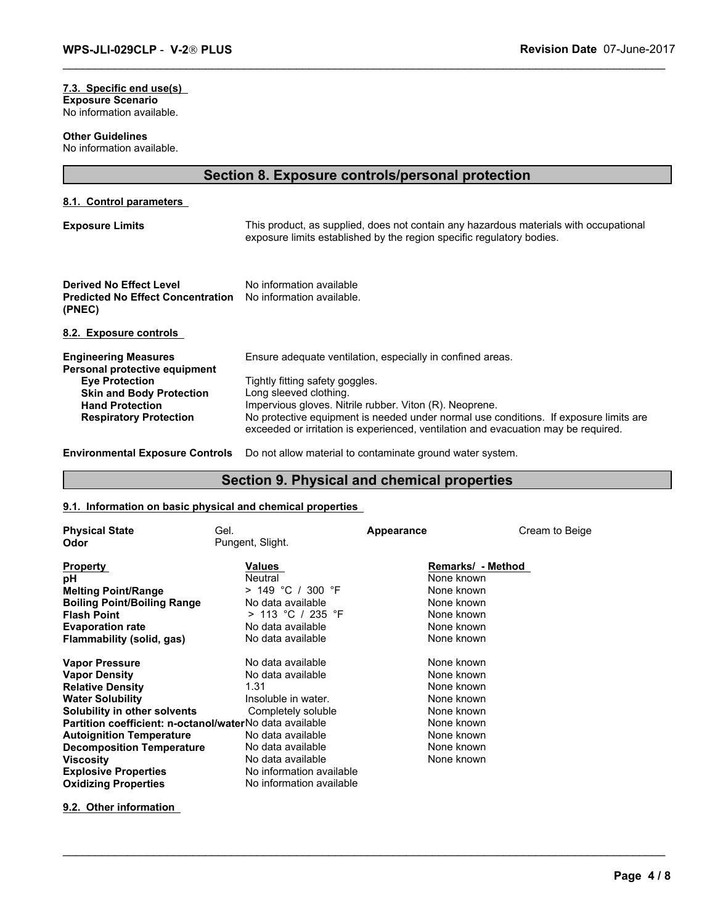#### **7.3. Specific end use(s) Exposure Scenario** No information available.

**Other Guidelines**

No information available.

### **Section 8. Exposure controls/personal protection**

**8.1. Control parameters** 

| <b>Exposure Limits</b>                                                                                                                                                              | This product, as supplied, does not contain any hazardous materials with occupational<br>exposure limits established by the region specific regulatory bodies.                                                                                                                                                                                                    |
|-------------------------------------------------------------------------------------------------------------------------------------------------------------------------------------|-------------------------------------------------------------------------------------------------------------------------------------------------------------------------------------------------------------------------------------------------------------------------------------------------------------------------------------------------------------------|
| Derived No Effect Level<br><b>Predicted No Effect Concentration</b><br>(PNEC)                                                                                                       | No information available<br>No information available.                                                                                                                                                                                                                                                                                                             |
| 8.2. Exposure controls                                                                                                                                                              |                                                                                                                                                                                                                                                                                                                                                                   |
| <b>Engineering Measures</b><br>Personal protective equipment<br><b>Eye Protection</b><br><b>Skin and Body Protection</b><br><b>Hand Protection</b><br><b>Respiratory Protection</b> | Ensure adequate ventilation, especially in confined areas.<br>Tightly fitting safety goggles.<br>Long sleeved clothing.<br>Impervious gloves. Nitrile rubber. Viton (R). Neoprene.<br>No protective equipment is needed under normal use conditions. If exposure limits are<br>exceeded or irritation is experienced, ventilation and evacuation may be required. |

### **Section 9. Physical and chemical properties**

\_\_\_\_\_\_\_\_\_\_\_\_\_\_\_\_\_\_\_\_\_\_\_\_\_\_\_\_\_\_\_\_\_\_\_\_\_\_\_\_\_\_\_\_\_\_\_\_\_\_\_\_\_\_\_\_\_\_\_\_\_\_\_\_\_\_\_\_\_\_\_\_\_\_\_\_\_\_\_\_\_\_\_\_\_\_\_\_\_\_\_\_\_

### **9.1. Information on basic physical and chemical properties**

|                                                            | Environmental Exposure Controls Do not allow material to contaminate ground water system. |            |                   |  |  |
|------------------------------------------------------------|-------------------------------------------------------------------------------------------|------------|-------------------|--|--|
| Section 9. Physical and chemical properties                |                                                                                           |            |                   |  |  |
| 9.1. Information on basic physical and chemical properties |                                                                                           |            |                   |  |  |
| <b>Physical State</b>                                      | Gel.                                                                                      | Appearance | Cream to Beige    |  |  |
| Odor                                                       | Pungent, Slight.                                                                          |            |                   |  |  |
| <b>Property</b>                                            | Values                                                                                    |            | Remarks/ - Method |  |  |
| рH                                                         | Neutral                                                                                   | None known |                   |  |  |
| <b>Melting Point/Range</b>                                 | $> 149$ °C / 300 °F                                                                       | None known |                   |  |  |
| <b>Boiling Point/Boiling Range</b>                         | No data available                                                                         | None known |                   |  |  |
| <b>Flash Point</b>                                         | > 113 °C / 235 °F                                                                         | None known |                   |  |  |
| <b>Evaporation rate</b>                                    | No data available                                                                         | None known |                   |  |  |
| Flammability (solid, gas)                                  | No data available                                                                         | None known |                   |  |  |
| <b>Vapor Pressure</b>                                      | No data available                                                                         | None known |                   |  |  |
| <b>Vapor Density</b>                                       | No data available                                                                         | None known |                   |  |  |
| <b>Relative Density</b>                                    | 1.31                                                                                      | None known |                   |  |  |
| <b>Water Solubility</b>                                    | Insoluble in water.                                                                       | None known |                   |  |  |
| Solubility in other solvents                               | Completely soluble                                                                        | None known |                   |  |  |
| Partition coefficient: n-octanol/waterNo data available    |                                                                                           | None known |                   |  |  |
| <b>Autoignition Temperature</b>                            | No data available                                                                         | None known |                   |  |  |
| <b>Decomposition Temperature</b>                           | No data available                                                                         | None known |                   |  |  |
| <b>Viscosity</b>                                           | No data available                                                                         | None known |                   |  |  |
| <b>Explosive Properties</b>                                | No information available                                                                  |            |                   |  |  |
| <b>Oxidizing Properties</b>                                | No information available                                                                  |            |                   |  |  |

**9.2. Other information**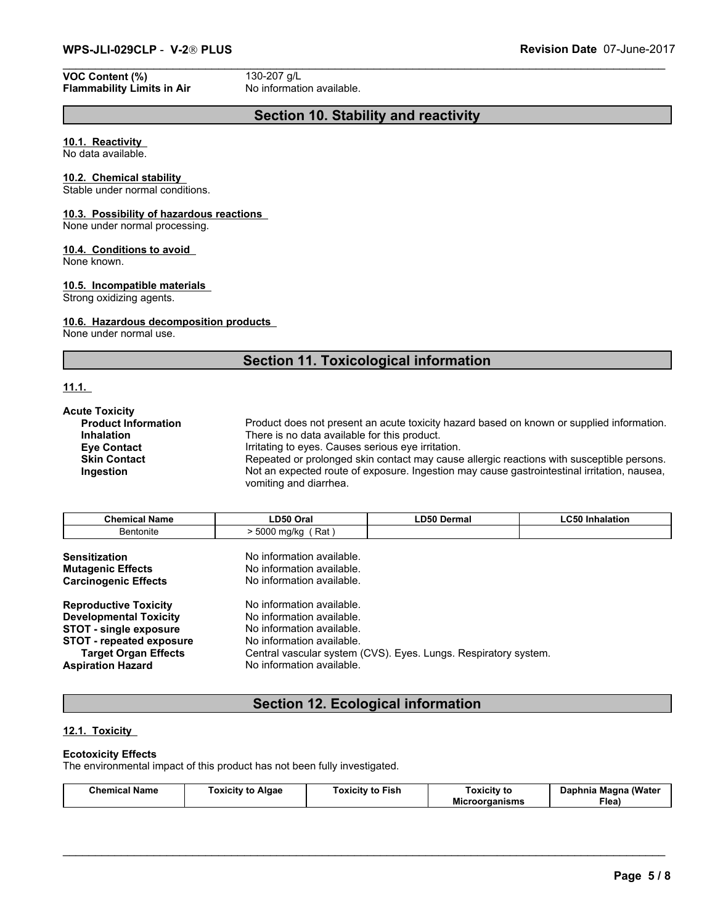### **VOC Content (%)** 130-207 g/L<br> **Flammability Limits in Air** No information available. **Flammability Limits in Air**

### **Section 10. Stability and reactivity**

### **10.1. Reactivity**

No data available.

#### **10.2. Chemical stability**

Stable under normal conditions.

### **10.3. Possibility of hazardous reactions**

None under normal processing.

### **10.4. Conditions to avoid**

None known.

### **10.5. Incompatible materials**

Strong oxidizing agents.

### **10.6. Hazardous decomposition products**

None under normal use.

### **Section 11. Toxicological information**

### **11.1.**

| <b>Acute Toxicity</b><br>Product does not present an acute toxicity hazard based on known or supplied information.<br><b>Product Information</b><br>There is no data available for this product.<br><b>Inhalation</b><br>Irritating to eyes. Causes serious eye irritation.<br><b>Eve Contact</b><br>Repeated or prolonged skin contact may cause allergic reactions with susceptible persons.<br><b>Skin Contact</b><br>Not an expected route of exposure. Ingestion may cause gastrointestinal irritation, nausea,<br>Ingestion<br>vomiting and diarrhea. |                      |             |                        |  |
|-------------------------------------------------------------------------------------------------------------------------------------------------------------------------------------------------------------------------------------------------------------------------------------------------------------------------------------------------------------------------------------------------------------------------------------------------------------------------------------------------------------------------------------------------------------|----------------------|-------------|------------------------|--|
| <b>Chemical Name</b>                                                                                                                                                                                                                                                                                                                                                                                                                                                                                                                                        | LD50 Oral            | LD50 Dermal | <b>LC50 Inhalation</b> |  |
|                                                                                                                                                                                                                                                                                                                                                                                                                                                                                                                                                             |                      |             |                        |  |
| <b>Bentonite</b>                                                                                                                                                                                                                                                                                                                                                                                                                                                                                                                                            | $> 5000$ mg/kg (Rat) |             |                        |  |

| Chemical<br>Name | LD50 <sup>7</sup><br>Oral                    | $- - - -$<br>350<br>Dermal | $\sim$ $\sim$<br>hſ.<br>alation. |
|------------------|----------------------------------------------|----------------------------|----------------------------------|
| Bentonite        | 5000<br>Rat<br>` ma∕ka<br>n<br>JU<br>$\cdot$ |                            |                                  |

| <b>Sensitization</b>            | No information available.                                       |
|---------------------------------|-----------------------------------------------------------------|
| <b>Mutagenic Effects</b>        | No information available.                                       |
| <b>Carcinogenic Effects</b>     | No information available.                                       |
| <b>Reproductive Toxicity</b>    | No information available.                                       |
| <b>Developmental Toxicity</b>   | No information available.                                       |
| <b>STOT - single exposure</b>   | No information available.                                       |
| <b>STOT - repeated exposure</b> | No information available.                                       |
| <b>Target Organ Effects</b>     | Central vascular system (CVS). Eyes. Lungs. Respiratory system. |
| <b>Aspiration Hazard</b>        | No information available.                                       |

### **Section 12. Ecological information**

### **12.1. Toxicity**

### **Ecotoxicity Effects**

The environmental impact of this product has not been fully investigated.

| Fish<br>nor<br>Algae<br><b>Toxicity</b><br>.<br>oxicity<br>ەmir<br>lame<br>к.<br>το<br>$\sim$ $\sim$ | oxicity to<br>Mic<br>чаныны | (Water<br>Magna<br>Daphnia<br>-<br>Flea, |
|------------------------------------------------------------------------------------------------------|-----------------------------|------------------------------------------|
|------------------------------------------------------------------------------------------------------|-----------------------------|------------------------------------------|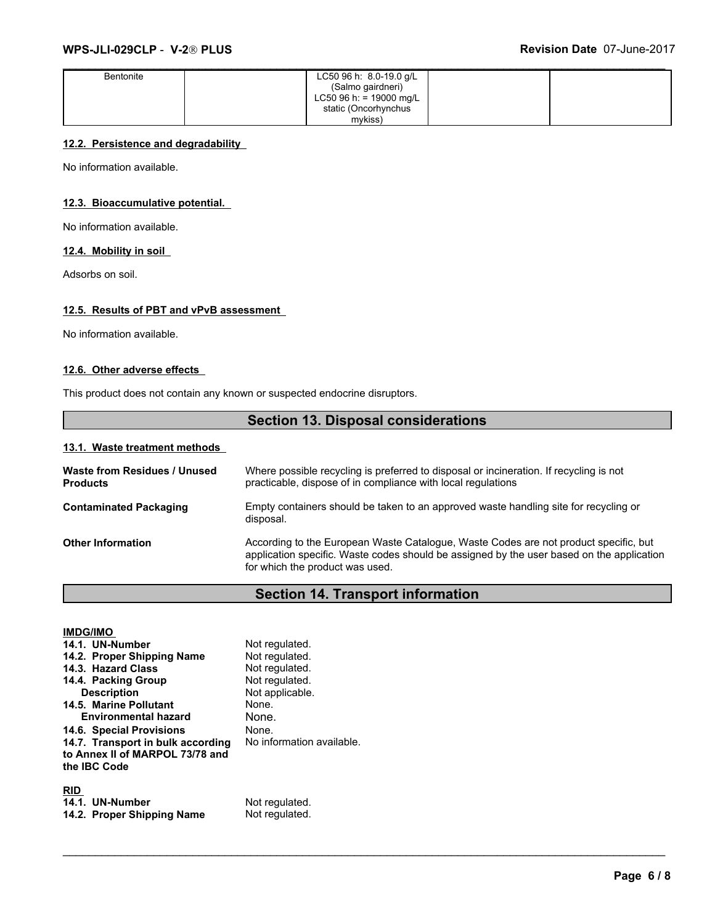| Bentonite | LC50 96 h: $8.0-19.0$ g/L |  |
|-----------|---------------------------|--|
|           | (Salmo gairdneri)         |  |
|           | LC50 96 h: = 19000 mg/L   |  |
|           | static (Oncorhynchus      |  |
|           | mykiss)                   |  |

### **12.2. Persistence and degradability**

No information available.

### **12.3. Bioaccumulative potential.**

No information available.

### **12.4. Mobility in soil**

Adsorbs on soil.

### **12.5. Results of PBT and vPvB assessment**

No information available.

### **12.6. Other adverse effects**

This product does not contain any known or suspected endocrine disruptors.

### **Section 13. Disposal considerations**

### **13.1. Waste treatment methods**

| Waste from Residues / Unused<br><b>Products</b> | Where possible recycling is preferred to disposal or incineration. If recycling is not<br>practicable, dispose of in compliance with local regulations                                                               |
|-------------------------------------------------|----------------------------------------------------------------------------------------------------------------------------------------------------------------------------------------------------------------------|
| <b>Contaminated Packaging</b>                   | Empty containers should be taken to an approved waste handling site for recycling or<br>disposal.                                                                                                                    |
| <b>Other Information</b>                        | According to the European Waste Catalogue, Waste Codes are not product specific, but<br>application specific. Waste codes should be assigned by the user based on the application<br>for which the product was used. |

## **Section 14. Transport information**

| <b>IMDG/IMO</b><br>14.1. UN-Number<br>14.2. Proper Shipping Name<br>14.3. Hazard Class<br>14.4. Packing Group<br><b>Description</b><br>14.5. Marine Pollutant<br><b>Environmental hazard</b><br>14.6. Special Provisions<br>14.7. Transport in bulk according<br>to Annex II of MARPOL 73/78 and<br>the IBC Code | Not regulated.<br>Not regulated.<br>Not regulated.<br>Not regulated.<br>Not applicable.<br>None.<br>None.<br>None.<br>No information available. |
|------------------------------------------------------------------------------------------------------------------------------------------------------------------------------------------------------------------------------------------------------------------------------------------------------------------|-------------------------------------------------------------------------------------------------------------------------------------------------|
| <b>RID</b><br>14.1. UN-Number<br>14.2. Proper Shipping Name                                                                                                                                                                                                                                                      | Not regulated.<br>Not regulated.                                                                                                                |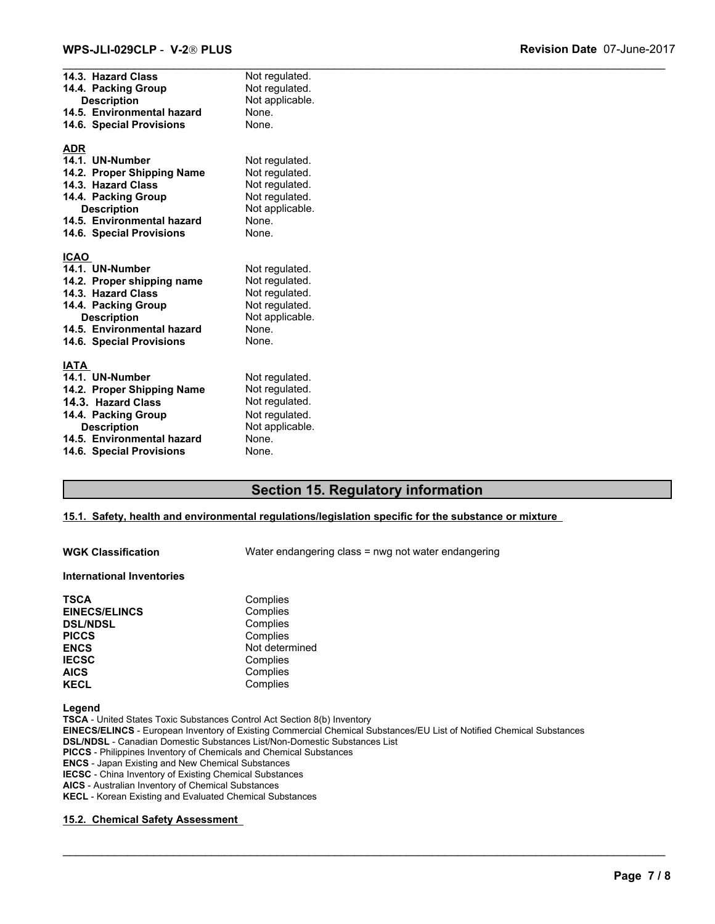| 14.3. Hazard Class<br>14.4. Packing Group<br><b>Description</b><br>14.5. Environmental hazard<br>14.6. Special Provisions                                                                 | Not regulated.<br>Not regulated.<br>Not applicable.<br>None.<br>None.                                     |
|-------------------------------------------------------------------------------------------------------------------------------------------------------------------------------------------|-----------------------------------------------------------------------------------------------------------|
| <b>ADR</b><br>14.1. UN-Number<br>14.2. Proper Shipping Name<br>14.3. Hazard Class<br>14.4. Packing Group<br><b>Description</b><br>14.5. Environmental hazard<br>14.6. Special Provisions  | Not regulated.<br>Not regulated.<br>Not regulated.<br>Not regulated.<br>Not applicable.<br>None.<br>None. |
| <b>ICAO</b><br>14.1. UN-Number<br>14.2. Proper shipping name<br>14.3. Hazard Class<br>14.4. Packing Group<br><b>Description</b><br>14.5. Environmental hazard<br>14.6. Special Provisions | Not regulated.<br>Not regulated.<br>Not regulated.<br>Not regulated.<br>Not applicable.<br>None.<br>None. |
| <b>IATA</b><br>14.1. UN-Number<br>14.2. Proper Shipping Name<br>14.3. Hazard Class<br>14.4. Packing Group<br><b>Description</b><br>14.5. Environmental hazard<br>14.6. Special Provisions | Not regulated.<br>Not regulated.<br>Not regulated.<br>Not regulated.<br>Not applicable.<br>None.<br>None. |

### **Section 15. Regulatory information**

### **15.1. Safety, health and environmental regulations/legislation specific for the substance or mixture**

**WGK Classification** Water endangering class = nwg not water endangering

\_\_\_\_\_\_\_\_\_\_\_\_\_\_\_\_\_\_\_\_\_\_\_\_\_\_\_\_\_\_\_\_\_\_\_\_\_\_\_\_\_\_\_\_\_\_\_\_\_\_\_\_\_\_\_\_\_\_\_\_\_\_\_\_\_\_\_\_\_\_\_\_\_\_\_\_\_\_\_\_\_\_\_\_\_\_\_\_\_\_\_\_\_

#### **International Inventories**

| <b>TSCA</b>          | Complies       |
|----------------------|----------------|
| <b>EINECS/ELINCS</b> | Complies       |
| <b>DSL/NDSL</b>      | Complies       |
| <b>PICCS</b>         | Complies       |
| <b>ENCS</b>          | Not determined |
| <b>IECSC</b>         | Complies       |
| <b>AICS</b>          | Complies       |
| <b>KECL</b>          | Complies       |

**Legend**

**TSCA** - United States Toxic Substances Control Act Section 8(b) Inventory **EINECS/ELINCS** - European Inventory of Existing Commercial Chemical Substances/EU List of Notified Chemical Substances **DSL/NDSL** - Canadian Domestic Substances List/Non-Domestic Substances List **PICCS** - Philippines Inventory of Chemicals and Chemical Substances **ENCS** - Japan Existing and New Chemical Substances **IECSC** - China Inventory of Existing Chemical Substances **AICS** - Australian Inventory of Chemical Substances **KECL** - Korean Existing and Evaluated Chemical Substances

#### **15.2. Chemical Safety Assessment**